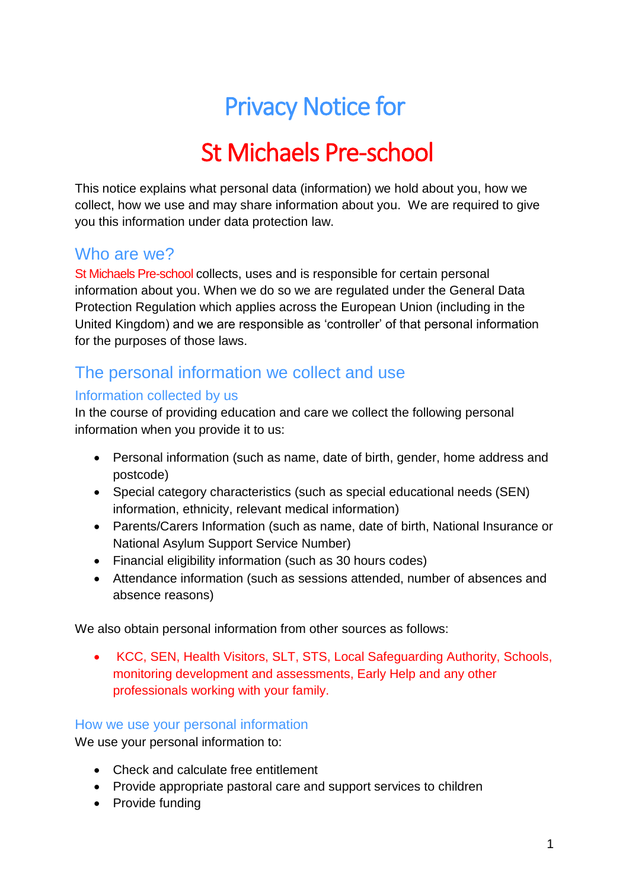# Privacy Notice for

# St Michaels Pre-school

This notice explains what personal data (information) we hold about you, how we collect, how we use and may share information about you. We are required to give you this information under data protection law.

### Who are we?

St Michaels Pre-school collects, uses and is responsible for certain personal information about you. When we do so we are regulated under the General Data Protection Regulation which applies across the European Union (including in the United Kingdom) and we are responsible as 'controller' of that personal information for the purposes of those laws.

## The personal information we collect and use

#### Information collected by us

In the course of providing education and care we collect the following personal information when you provide it to us:

- Personal information (such as name, date of birth, gender, home address and postcode)
- Special category characteristics (such as special educational needs (SEN) information, ethnicity, relevant medical information)
- Parents/Carers Information (such as name, date of birth, National Insurance or National Asylum Support Service Number)
- Financial eligibility information (such as 30 hours codes)
- Attendance information (such as sessions attended, number of absences and absence reasons)

We also obtain personal information from other sources as follows:

 KCC, SEN, Health Visitors, SLT, STS, Local Safeguarding Authority, Schools, monitoring development and assessments, Early Help and any other professionals working with your family.

#### How we use your personal information

We use your personal information to:

- Check and calculate free entitlement
- Provide appropriate pastoral care and support services to children
- Provide funding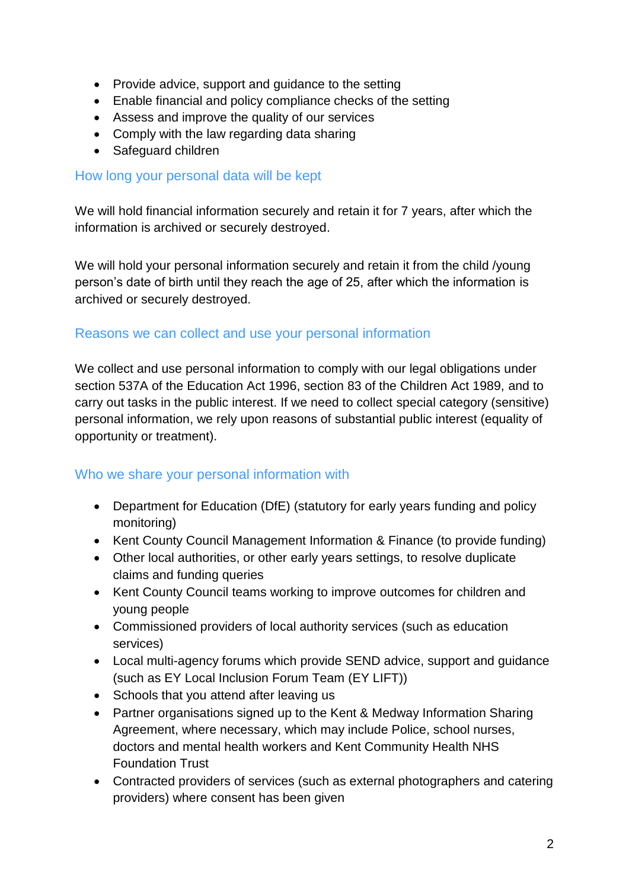- Provide advice, support and guidance to the setting
- Enable financial and policy compliance checks of the setting
- Assess and improve the quality of our services
- Comply with the law regarding data sharing
- Safeguard children

#### How long your personal data will be kept

We will hold financial information securely and retain it for 7 years, after which the information is archived or securely destroyed.

We will hold your personal information securely and retain it from the child /young person's date of birth until they reach the age of 25, after which the information is archived or securely destroyed.

#### Reasons we can collect and use your personal information

We collect and use personal information to comply with our legal obligations under section 537A of the Education Act 1996, section 83 of the Children Act 1989, and to carry out tasks in the public interest. If we need to collect special category (sensitive) personal information, we rely upon reasons of substantial public interest (equality of opportunity or treatment).

#### Who we share your personal information with

- Department for Education (DfE) (statutory for early years funding and policy monitoring)
- Kent County Council Management Information & Finance (to provide funding)
- Other local authorities, or other early years settings, to resolve duplicate claims and funding queries
- Kent County Council teams working to improve outcomes for children and young people
- Commissioned providers of local authority services (such as education services)
- Local multi-agency forums which provide SEND advice, support and guidance (such as EY Local Inclusion Forum Team (EY LIFT))
- Schools that you attend after leaving us
- Partner organisations signed up to the Kent & Medway Information Sharing Agreement, where necessary, which may include Police, school nurses, doctors and mental health workers and Kent Community Health NHS Foundation Trust
- Contracted providers of services (such as external photographers and catering providers) where consent has been given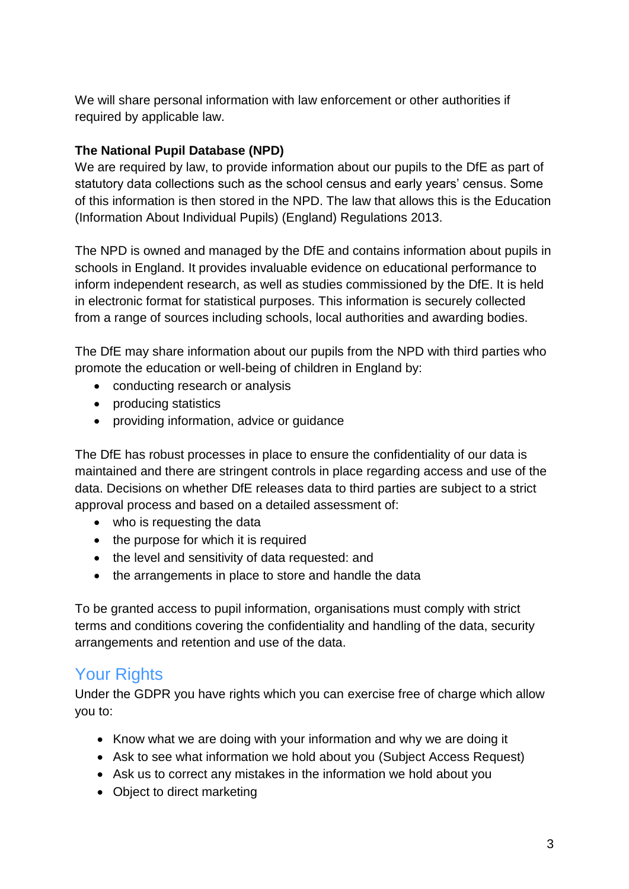We will share personal information with law enforcement or other authorities if required by applicable law.

#### **The National Pupil Database (NPD)**

We are required by law, to provide information about our pupils to the DfE as part of statutory data collections such as the school census and early years' census. Some of this information is then stored in the NPD. The law that allows this is the Education (Information About Individual Pupils) (England) Regulations 2013.

The NPD is owned and managed by the DfE and contains information about pupils in schools in England. It provides invaluable evidence on educational performance to inform independent research, as well as studies commissioned by the DfE. It is held in electronic format for statistical purposes. This information is securely collected from a range of sources including schools, local authorities and awarding bodies.

The DfE may share information about our pupils from the NPD with third parties who promote the education or well-being of children in England by:

- conducting research or analysis
- producing statistics
- providing information, advice or guidance

The DfE has robust processes in place to ensure the confidentiality of our data is maintained and there are stringent controls in place regarding access and use of the data. Decisions on whether DfE releases data to third parties are subject to a strict approval process and based on a detailed assessment of:

- who is requesting the data
- the purpose for which it is required
- the level and sensitivity of data requested: and
- the arrangements in place to store and handle the data

To be granted access to pupil information, organisations must comply with strict terms and conditions covering the confidentiality and handling of the data, security arrangements and retention and use of the data.

## Your Rights

Under the GDPR you have rights which you can exercise free of charge which allow you to:

- Know what we are doing with your information and why we are doing it
- Ask to see what information we hold about you (Subiect Access Request)
- Ask us to correct any mistakes in the information we hold about you
- Object to direct marketing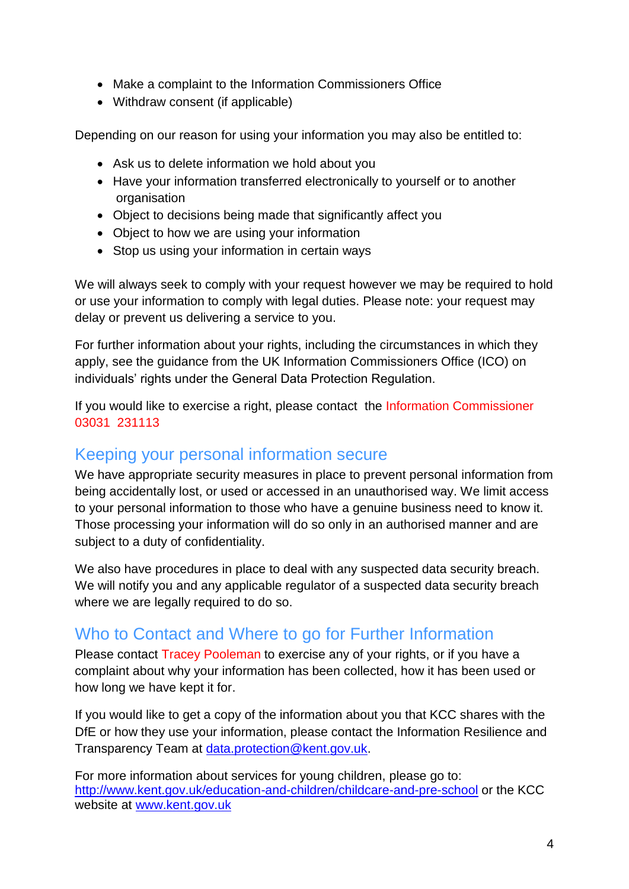- Make a complaint to the Information Commissioners Office
- Withdraw consent (if applicable)

Depending on our reason for using your information you may also be entitled to:

- Ask us to delete information we hold about you
- Have your information transferred electronically to yourself or to another organisation
- Object to decisions being made that significantly affect you
- Object to how we are using your information
- Stop us using your information in certain ways

We will always seek to comply with your request however we may be required to hold or use your information to comply with legal duties. Please note: your request may delay or prevent us delivering a service to you.

For further information about your rights, including the circumstances in which they apply, see the guidance from the UK Information Commissioners Office (ICO) on individuals' rights under the General Data Protection Regulation.

If you would like to exercise a right, please contact the Information Commissioner 03031 231113

### Keeping your personal information secure

We have appropriate security measures in place to prevent personal information from being accidentally lost, or used or accessed in an unauthorised way. We limit access to your personal information to those who have a genuine business need to know it. Those processing your information will do so only in an authorised manner and are subject to a duty of confidentiality.

We also have procedures in place to deal with any suspected data security breach. We will notify you and any applicable regulator of a suspected data security breach where we are legally required to do so.

## Who to Contact and Where to go for Further Information

Please contact Tracey Pooleman to exercise any of your rights, or if you have a complaint about why your information has been collected, how it has been used or how long we have kept it for.

If you would like to get a copy of the information about you that KCC shares with the DfE or how they use your information, please contact the Information Resilience and Transparency Team at [data.protection@kent.gov.uk.](mailto:data.protection@kent.gov.uk)

For more information about services for young children, please go to: <http://www.kent.gov.uk/education-and-children/childcare-and-pre-school> or the KCC website at [www.kent.gov.uk](http://www.kent.gov.uk/)